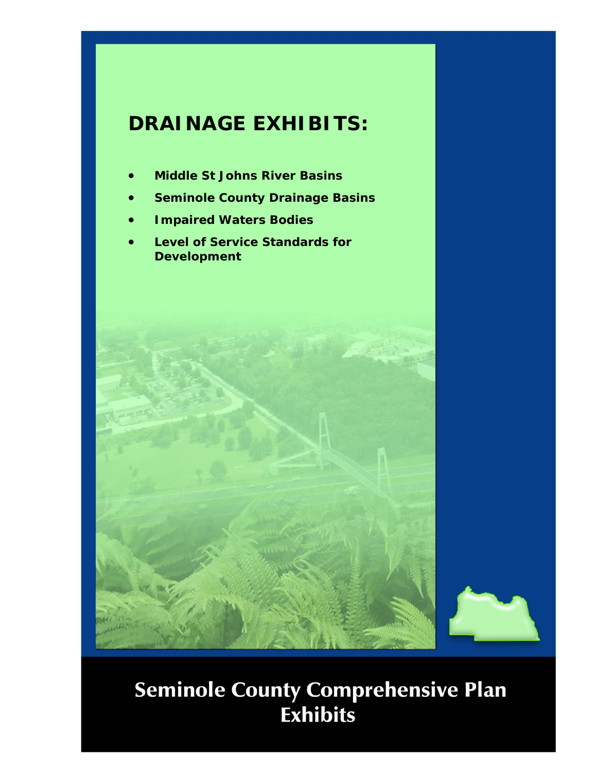# **DRAINAGE EXHIBITS:**

- **Middle St Johns River Basins**
- **Seminole County Drainage Basins**
- **Impaired Waters Bodies**
- **Level of Service Standards for Development**



# **Seminole County Comprehensive Plan<br>Exhibits**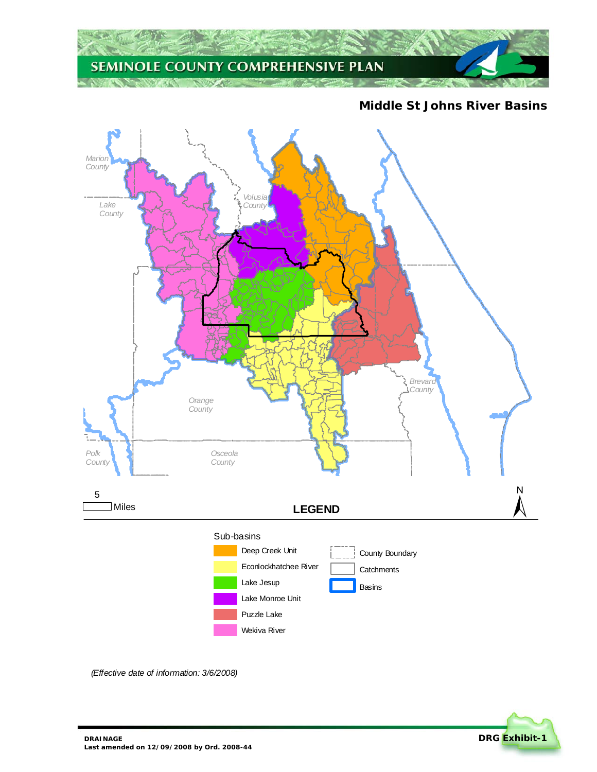

**Middle St Johns River Basins** 



*(Effective date of information: 3/6/2008)*

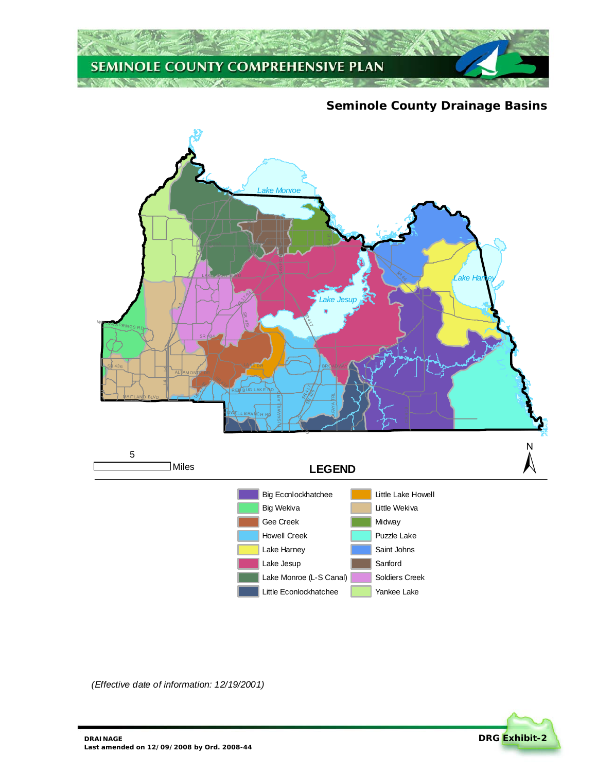

#### **Seminole County Drainage Basins**



Little Econlockhatchee

Yankee Lake

*(Effective date of information: 12/19/2001)*

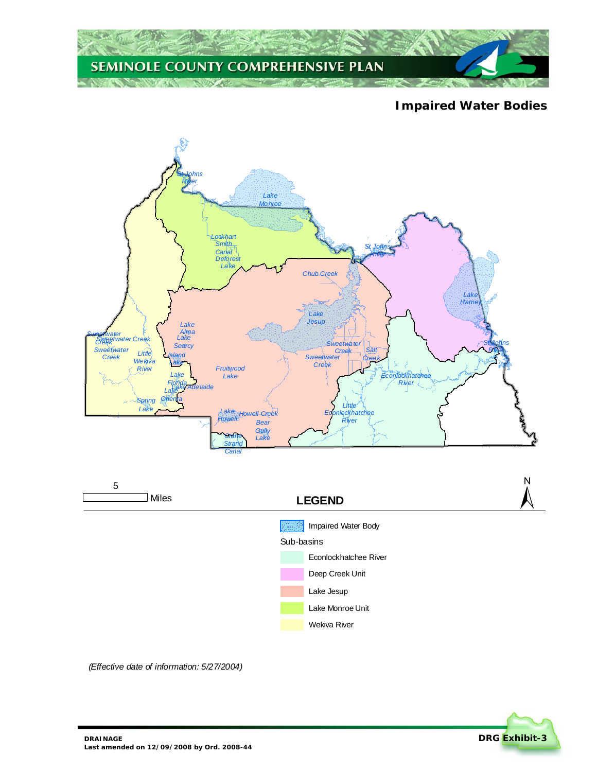

## **Impaired Water Bodies**





*(Effective date of information: 5/27/2004)*